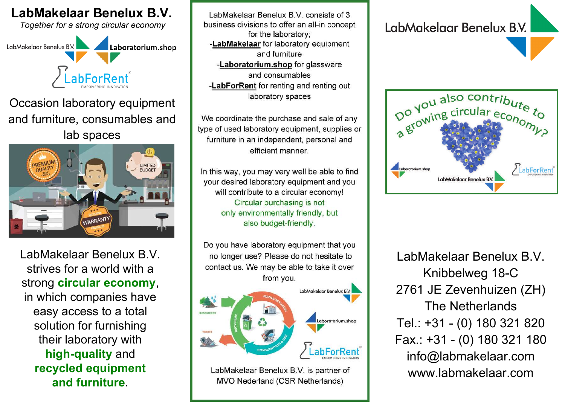

*Together for a strong circular economy*



Occasion laboratory equipment and furniture, consumables and lab spaces



LabMakelaar Benelux B.V. strives for a world with a strong **circular economy**, in which companies have easy access to a total solution for furnishing their laboratory with **high-quality** and **recycled equipment and furniture**.

LabMakelaar Benelux B.V. consists of 3 business divisions to offer an all-in concept for the laboratory; -LabMakelaar for laboratory equipment and furniture -Laboratorium.shop for glassware and consumables -LabForRent for renting and renting out laboratory spaces

We coordinate the purchase and sale of any type of used laboratory equipment, supplies or furniture in an independent, personal and efficient manner.

In this way, you may very well be able to find your desired laboratory equipment and you will contribute to a circular economy! Circular purchasing is not only environmentally friendly, but also budget-friendly.

Do you have laboratory equipment that you no longer use? Please do not hesitate to contact us. We may be able to take it over from you.



LabMakelaar Benelux B.V. is partner of MVO Nederland (CSR Netherlands)

LabMakelaar Benelux B.V.



LabMakelaar Benelux B.V. Knibbelweg 18-C 2761 JE Zevenhuizen (ZH) The Netherlands Tel.: +31 - (0) 180 321 820 Fax.: +31 - (0) 180 321 180 info@labmakelaar.com www.labmakelaar.com